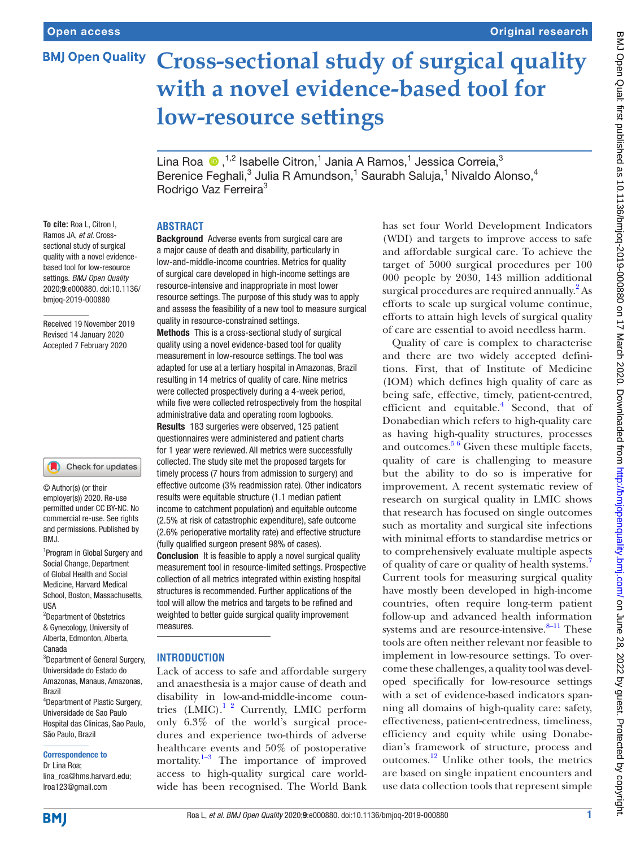# **BMJ Open Quality**

# **Cross-sectional study of surgical quality with a novel evidence-based tool for low-resource settings**

LinaRoa $\;\mathbf{0}\; , ^{1,2}$  Isabelle Citron, $^1$  Jania A Ramos, $^1$  Jessica Correia, $^3$ Berenice Feghali,<sup>3</sup> Julia R Amundson,<sup>1</sup> Saurabh Saluja,<sup>1</sup> Nivaldo Alonso,<sup>4</sup> Rodrigo Vaz Ferreira<sup>3</sup>

## **ABSTRACT**

**To cite:** Roa L, Citron I, Ramos JA, *et al*. Crosssectional study of surgical quality with a novel evidencebased tool for low-resource settings. *BMJ Open Quality* 2020;9:e000880. doi:10.1136/ bmjoq-2019-000880

Received 19 November 2019 Revised 14 January 2020 Accepted 7 February 2020

#### Check for updates

© Author(s) (or their employer(s)) 2020. Re-use permitted under CC BY-NC. No commercial re-use. See rights and permissions. Published by BMJ.

<sup>1</sup> Program in Global Surgery and Social Change, Department of Global Health and Social Medicine, Harvard Medical School, Boston, Massachusetts, USA

<sup>2</sup>Department of Obstetrics & Gynecology, University of Alberta, Edmonton, Alberta, Canada

3 Department of General Surgery, Universidade do Estado do Amazonas, Manaus, Amazonas, Brazil

4 Department of Plastic Surgery, Universidade de Sao Paulo Hospital das Clinicas, Sao Paulo, São Paulo, Brazil

#### Correspondence to

Dr Lina Roa; lina\_roa@hms.harvard.edu; lroa123@gmail.com

Background Adverse events from surgical care are a major cause of death and disability, particularly in low-and-middle-income countries. Metrics for quality of surgical care developed in high-income settings are resource-intensive and inappropriate in most lower resource settings. The purpose of this study was to apply and assess the feasibility of a new tool to measure surgical quality in resource-constrained settings.

Methods This is a cross-sectional study of surgical quality using a novel evidence-based tool for quality measurement in low-resource settings. The tool was adapted for use at a tertiary hospital in Amazonas, Brazil resulting in 14 metrics of quality of care. Nine metrics were collected prospectively during a 4-week period, while five were collected retrospectively from the hospital administrative data and operating room logbooks. Results 183 surgeries were observed, 125 patient questionnaires were administered and patient charts for 1 year were reviewed. All metrics were successfully collected. The study site met the proposed targets for timely process (7 hours from admission to surgery) and effective outcome (3% readmission rate). Other indicators results were equitable structure (1.1 median patient income to catchment population) and equitable outcome (2.5% at risk of catastrophic expenditure), safe outcome (2.6% perioperative mortality rate) and effective structure (fully qualified surgeon present 98% of cases). **Conclusion** It is feasible to apply a novel surgical quality measurement tool in resource-limited settings. Prospective collection of all metrics integrated within existing hospital structures is recommended. Further applications of the tool will allow the metrics and targets to be refined and weighted to better guide surgical quality improvement measures.

#### **Introduction**

Lack of access to safe and affordable surgery and anaesthesia is a major cause of death and disability in low-and-middle-income countries (LMIC).[1 2](#page-7-0) Currently, LMIC perform only 6.3% of the world's surgical procedures and experience two-thirds of adverse healthcare events and 50% of postoperative mortality. $1-3$  The importance of improved access to high-quality surgical care worldwide has been recognised. The World Bank

has set four World Development Indicators (WDI) and targets to improve access to safe and affordable surgical care. To achieve the target of 5000 surgical procedures per 100 000 people by 2030, 143 million additional surgical procedures are required annually. $2$ As efforts to scale up surgical volume continue, efforts to attain high levels of surgical quality of care are essential to avoid needless harm.

Quality of care is complex to characterise and there are two widely accepted definitions. First, that of Institute of Medicine (IOM) which defines high quality of care as being safe, effective, timely, patient-centred, efficient and equitable.<sup>[4](#page-7-2)</sup> Second, that of Donabedian which refers to high-quality care as having high-quality structures, processes and outcomes. $56$  Given these multiple facets, quality of care is challenging to measure but the ability to do so is imperative for improvement. A recent systematic review of research on surgical quality in LMIC shows that research has focused on single outcomes such as mortality and surgical site infections with minimal efforts to standardise metrics or to comprehensively evaluate multiple aspects of quality of care or quality of health systems[.7](#page-7-4) Current tools for measuring surgical quality have mostly been developed in high-income countries, often require long-term patient follow-up and advanced health information systems and are resource-intensive. $8-11$  These tools are often neither relevant nor feasible to implement in low-resource settings. To overcome these challenges, a quality tool was developed specifically for low-resource settings with a set of evidence-based indicators spanning all domains of high-quality care: safety, effectiveness, patient-centredness, timeliness, efficiency and equity while using Donabedian's framework of structure, process and outcomes.[12](#page-7-6) Unlike other tools, the metrics are based on single inpatient encounters and use data collection tools that represent simple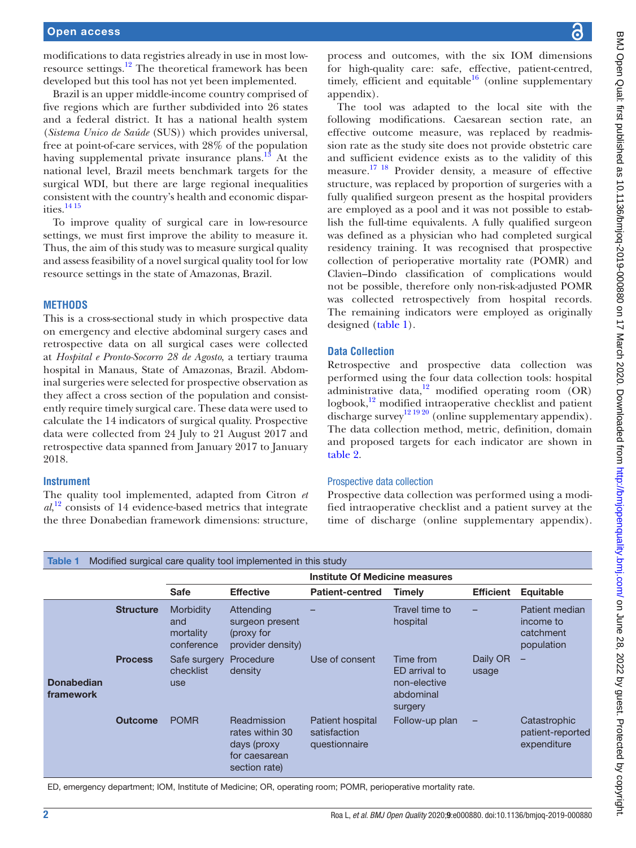modifications to data registries already in use in most lowresource settings.[12](#page-7-6) The theoretical framework has been developed but this tool has not yet been implemented.

Brazil is an upper middle-income country comprised of five regions which are further subdivided into 26 states and a federal district. It has a national health system (*Sistema Unico de Saúde* (SUS)) which provides universal, free at point-of-care services, with 28% of the population having supplemental private insurance plans. $13$  At the national level, Brazil meets benchmark targets for the surgical WDI, but there are large regional inequalities consistent with the country's health and economic disparities. $1415$ 

To improve quality of surgical care in low-resource settings, we must first improve the ability to measure it. Thus, the aim of this study was to measure surgical quality and assess feasibility of a novel surgical quality tool for low resource settings in the state of Amazonas, Brazil.

# **Methods**

This is a cross-sectional study in which prospective data on emergency and elective abdominal surgery cases and retrospective data on all surgical cases were collected at *Hospital e Pronto-Socorro 28 de Agosto*, a tertiary trauma hospital in Manaus, State of Amazonas, Brazil. Abdominal surgeries were selected for prospective observation as they affect a cross section of the population and consistently require timely surgical care. These data were used to calculate the 14 indicators of surgical quality. Prospective data were collected from 24 July to 21 August 2017 and retrospective data spanned from January 2017 to January 2018.

#### **Instrument**

The quality tool implemented, adapted from Citron *et al*, [12](#page-7-6) consists of 14 evidence-based metrics that integrate the three Donabedian framework dimensions: structure,

process and outcomes, with the six IOM dimensions for high-quality care: safe, effective, patient-centred, timely, efficient and equitable<sup>16</sup> (online supplementary [appendix](https://dx.doi.org/10.1136/bmjoq-2019-000880)).

The tool was adapted to the local site with the following modifications. Caesarean section rate, an effective outcome measure, was replaced by readmission rate as the study site does not provide obstetric care and sufficient evidence exists as to the validity of this measure. [17 18](#page-7-10) Provider density, a measure of effective structure, was replaced by proportion of surgeries with a fully qualified surgeon present as the hospital providers are employed as a pool and it was not possible to establish the full-time equivalents. A fully qualified surgeon was defined as a physician who had completed surgical residency training. It was recognised that prospective collection of perioperative mortality rate (POMR) and Clavien–Dindo classification of complications would not be possible, therefore only non-risk-adjusted POMR was collected retrospectively from hospital records. The remaining indicators were employed as originally designed [\(table](#page-1-0) 1).

# **Data Collection**

Retrospective and prospective data collection was performed using the four data collection tools: hospital administrative data, $12$  modified operating room (OR) logbook[,12](#page-7-6) modified intraoperative checklist and patient discharge survey<sup>12 19 20</sup> ([online supplementary appendix\)](https://dx.doi.org/10.1136/bmjoq-2019-000880). The data collection method, metric, definition, domain and proposed targets for each indicator are shown in [table](#page-2-0) 2.

## Prospective data collection

Prospective data collection was performed using a modified intraoperative checklist and a patient survey at the time of discharge [\(online supplementary appendix\)](https://dx.doi.org/10.1136/bmjoq-2019-000880).

## <span id="page-1-0"></span>Table 1 Modified surgical care quality tool implemented in this study

|                                |                  | Institute Of Medicine measures              |                                                                                 |                                                   |                                                                    |                          |                                                        |
|--------------------------------|------------------|---------------------------------------------|---------------------------------------------------------------------------------|---------------------------------------------------|--------------------------------------------------------------------|--------------------------|--------------------------------------------------------|
|                                |                  | <b>Safe</b>                                 | <b>Effective</b>                                                                | <b>Patient-centred</b>                            | Timely                                                             | <b>Efficient</b>         | <b>Equitable</b>                                       |
|                                | <b>Structure</b> | Morbidity<br>and<br>mortality<br>conference | Attending<br>surgeon present<br>(proxy for<br>provider density)                 |                                                   | Travel time to<br>hospital                                         |                          | Patient median<br>income to<br>catchment<br>population |
| <b>Donabedian</b><br>framework | <b>Process</b>   | Safe surgery<br>checklist<br><b>use</b>     | Procedure<br>density                                                            | Use of consent                                    | Time from<br>ED arrival to<br>non-elective<br>abdominal<br>surgery | Daily OR<br>usage        | -                                                      |
|                                | <b>Outcome</b>   | <b>POMR</b>                                 | Readmission<br>rates within 30<br>days (proxy<br>for caesarean<br>section rate) | Patient hospital<br>satisfaction<br>questionnaire | Follow-up plan                                                     | $\overline{\phantom{0}}$ | Catastrophic<br>patient-reported<br>expenditure        |

ED, emergency department; IOM, Institute of Medicine; OR, operating room; POMR, perioperative mortality rate.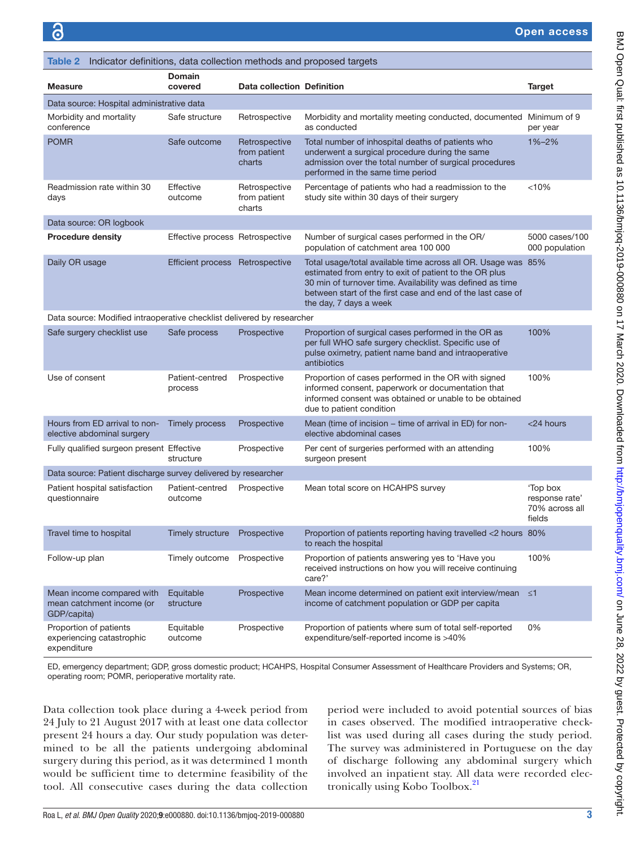<span id="page-2-0"></span>

| Indicator definitions, data collection methods and proposed targets<br>Table 2 |                                 |                                         |                                                                                                                                                                                                                                                                               |                                                        |  |  |  |
|--------------------------------------------------------------------------------|---------------------------------|-----------------------------------------|-------------------------------------------------------------------------------------------------------------------------------------------------------------------------------------------------------------------------------------------------------------------------------|--------------------------------------------------------|--|--|--|
| <b>Measure</b>                                                                 | <b>Domain</b><br>covered        | <b>Data collection Definition</b>       |                                                                                                                                                                                                                                                                               | <b>Target</b>                                          |  |  |  |
| Data source: Hospital administrative data                                      |                                 |                                         |                                                                                                                                                                                                                                                                               |                                                        |  |  |  |
| Morbidity and mortality<br>conference                                          | Safe structure                  | Retrospective                           | Morbidity and mortality meeting conducted, documented Minimum of 9<br>as conducted                                                                                                                                                                                            | per year                                               |  |  |  |
| <b>POMR</b>                                                                    | Safe outcome                    | Retrospective<br>from patient<br>charts | Total number of inhospital deaths of patients who<br>underwent a surgical procedure during the same<br>admission over the total number of surgical procedures<br>performed in the same time period                                                                            | 1%-2%                                                  |  |  |  |
| Readmission rate within 30<br>days                                             | Effective<br>outcome            | Retrospective<br>from patient<br>charts | Percentage of patients who had a readmission to the<br>study site within 30 days of their surgery                                                                                                                                                                             | < 10%                                                  |  |  |  |
| Data source: OR logbook                                                        |                                 |                                         |                                                                                                                                                                                                                                                                               |                                                        |  |  |  |
| <b>Procedure density</b>                                                       | Effective process Retrospective |                                         | Number of surgical cases performed in the OR/<br>population of catchment area 100 000                                                                                                                                                                                         | 5000 cases/100<br>000 population                       |  |  |  |
| Daily OR usage                                                                 | Efficient process Retrospective |                                         | Total usage/total available time across all OR. Usage was 85%<br>estimated from entry to exit of patient to the OR plus<br>30 min of turnover time. Availability was defined as time<br>between start of the first case and end of the last case of<br>the day, 7 days a week |                                                        |  |  |  |
| Data source: Modified intraoperative checklist delivered by researcher         |                                 |                                         |                                                                                                                                                                                                                                                                               |                                                        |  |  |  |
| Safe surgery checklist use                                                     | Safe process                    | Prospective                             | Proportion of surgical cases performed in the OR as<br>per full WHO safe surgery checklist. Specific use of<br>pulse oximetry, patient name band and intraoperative<br>antibiotics                                                                                            | 100%                                                   |  |  |  |
| Use of consent                                                                 | Patient-centred<br>process      | Prospective                             | Proportion of cases performed in the OR with signed<br>informed consent, paperwork or documentation that<br>informed consent was obtained or unable to be obtained<br>due to patient condition                                                                                | 100%                                                   |  |  |  |
| Hours from ED arrival to non-<br>elective abdominal surgery                    | <b>Timely process</b>           | Prospective                             | Mean (time of incision - time of arrival in ED) for non-<br>elective abdominal cases                                                                                                                                                                                          | <24 hours                                              |  |  |  |
| Fully qualified surgeon present Effective                                      | structure                       | Prospective                             | Per cent of surgeries performed with an attending<br>surgeon present                                                                                                                                                                                                          | 100%                                                   |  |  |  |
| Data source: Patient discharge survey delivered by researcher                  |                                 |                                         |                                                                                                                                                                                                                                                                               |                                                        |  |  |  |
| Patient hospital satisfaction<br>questionnaire                                 | Patient-centred<br>outcome      | Prospective                             | Mean total score on HCAHPS survey                                                                                                                                                                                                                                             | 'Top box<br>response rate'<br>70% across all<br>fields |  |  |  |
| Travel time to hospital                                                        | Timely structure                | Prospective                             | Proportion of patients reporting having travelled <2 hours 80%<br>to reach the hospital                                                                                                                                                                                       |                                                        |  |  |  |
| Follow-up plan                                                                 | Timely outcome                  | Prospective                             | Proportion of patients answering yes to 'Have you<br>received instructions on how you will receive continuing<br>care?'                                                                                                                                                       | 100%                                                   |  |  |  |
| Mean income compared with<br>mean catchment income (or<br>GDP/capita)          | Equitable<br>structure          | Prospective                             | Mean income determined on patient exit interview/mean<br>income of catchment population or GDP per capita                                                                                                                                                                     | $\leq$ 1                                               |  |  |  |
| Proportion of patients<br>experiencing catastrophic<br>expenditure             | Equitable<br>outcome            | Prospective                             | Proportion of patients where sum of total self-reported<br>expenditure/self-reported income is >40%                                                                                                                                                                           | 0%                                                     |  |  |  |

ED, emergency department; GDP, gross domestic product; HCAHPS, Hospital Consumer Assessment of Healthcare Providers and Systems; OR, operating room; POMR, perioperative mortality rate.

Data collection took place during a 4-week period from 24 July to 21 August 2017 with at least one data collector present 24 hours a day. Our study population was determined to be all the patients undergoing abdominal surgery during this period, as it was determined 1 month would be sufficient time to determine feasibility of the tool. All consecutive cases during the data collection

period were included to avoid potential sources of bias in cases observed. The modified intraoperative checklist was used during all cases during the study period. The survey was administered in Portuguese on the day of discharge following any abdominal surgery which involved an inpatient stay. All data were recorded elec-tronically using Kobo Toolbox.<sup>[21](#page-7-11)</sup>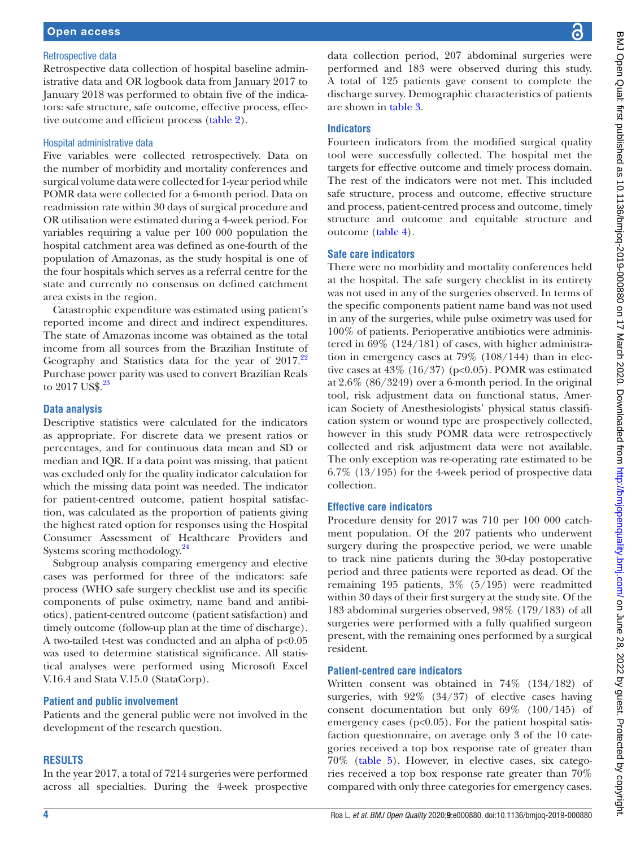# Retrospective data

Retrospective data collection of hospital baseline administrative data and OR logbook data from January 2017 to January 2018 was performed to obtain five of the indicators: safe structure, safe outcome, effective process, effective outcome and efficient process [\(table](#page-2-0) 2).

# Hospital administrative data

Five variables were collected retrospectively. Data on the number of morbidity and mortality conferences and surgical volume data were collected for 1-year period while POMR data were collected for a 6-month period. Data on readmission rate within 30 days of surgical procedure and OR utilisation were estimated during a 4-week period. For variables requiring a value per 100 000 population the hospital catchment area was defined as one-fourth of the population of Amazonas, as the study hospital is one of the four hospitals which serves as a referral centre for the state and currently no consensus on defined catchment area exists in the region.

Catastrophic expenditure was estimated using patient's reported income and direct and indirect expenditures. The state of Amazonas income was obtained as the total income from all sources from the Brazilian Institute of Geography and Statistics data for the year of 2017.<sup>22</sup> Purchase power parity was used to convert Brazilian Reals to 2017 US\$.<sup>[23](#page-7-13)</sup>

# **Data analysis**

Descriptive statistics were calculated for the indicators as appropriate. For discrete data we present ratios or percentages, and for continuous data mean and SD or median and IQR. If a data point was missing, that patient was excluded only for the quality indicator calculation for which the missing data point was needed. The indicator for patient-centred outcome, patient hospital satisfaction, was calculated as the proportion of patients giving the highest rated option for responses using the Hospital Consumer Assessment of Healthcare Providers and Systems scoring methodology.<sup>[24](#page-7-14)</sup>

Subgroup analysis comparing emergency and elective cases was performed for three of the indicators: safe process (WHO safe surgery checklist use and its specific components of pulse oximetry, name band and antibiotics), patient-centred outcome (patient satisfaction) and timely outcome (follow-up plan at the time of discharge). A two-tailed t-test was conducted and an alpha of p<0.05 was used to determine statistical significance. All statistical analyses were performed using Microsoft Excel V.16.4 and Stata V.15.0 (StataCorp).

# **Patient and public involvement**

Patients and the general public were not involved in the development of the research question.

## **Results**

In the year 2017, a total of 7214 surgeries were performed across all specialties. During the 4-week prospective

data collection period, 207 abdominal surgeries were performed and 183 were observed during this study. A total of 125 patients gave consent to complete the discharge survey. Demographic characteristics of patients are shown in [table](#page-4-0) 3.

# **Indicators**

Fourteen indicators from the modified surgical quality tool were successfully collected. The hospital met the targets for effective outcome and timely process domain. The rest of the indicators were not met. This included safe structure, process and outcome, effective structure and process, patient-centred process and outcome, timely structure and outcome and equitable structure and outcome [\(table](#page-4-1) 4).

# **Safe care indicators**

There were no morbidity and mortality conferences held at the hospital. The safe surgery checklist in its entirety was not used in any of the surgeries observed. In terms of the specific components patient name band was not used in any of the surgeries, while pulse oximetry was used for 100% of patients. Perioperative antibiotics were administered in 69% (124/181) of cases, with higher administration in emergency cases at 79% (108/144) than in elective cases at  $43\%$  (16/37) (p<0.05). POMR was estimated at 2.6% (86/3249) over a 6-month period. In the original tool, risk adjustment data on functional status, American Society of Anesthesiologists' physical status classification system or wound type are prospectively collected, however in this study POMR data were retrospectively collected and risk adjustment data were not available. The only exception was re-operating rate estimated to be 6.7% (13/195) for the 4-week period of prospective data collection.

# **Effective care indicators**

Procedure density for 2017 was 710 per 100 000 catchment population. Of the 207 patients who underwent surgery during the prospective period, we were unable to track nine patients during the 30-day postoperative period and three patients were reported as dead. Of the remaining 195 patients, 3% (5/195) were readmitted within 30 days of their first surgery at the study site. Of the 183 abdominal surgeries observed, 98% (179/183) of all surgeries were performed with a fully qualified surgeon present, with the remaining ones performed by a surgical resident.

# **Patient-centred care indicators**

Written consent was obtained in 74% (134/182) of surgeries, with 92% (34/37) of elective cases having consent documentation but only 69% (100/145) of emergency cases  $(p<0.05)$ . For the patient hospital satisfaction questionnaire, on average only 3 of the 10 categories received a top box response rate of greater than 70% ([table](#page-5-0) 5). However, in elective cases, six categories received a top box response rate greater than 70% compared with only three categories for emergency cases.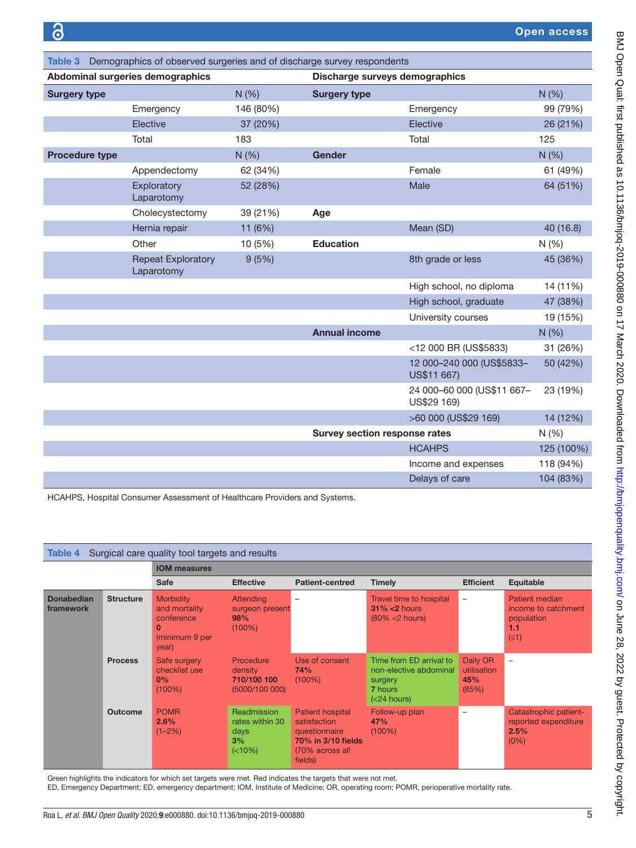<span id="page-4-0"></span>

|                       | Table 3 Demographics of observed surgeries and of discharge survey respondents |                              |                                      |                                           |            |  |
|-----------------------|--------------------------------------------------------------------------------|------------------------------|--------------------------------------|-------------------------------------------|------------|--|
|                       | Abdominal surgeries demographics                                               |                              | Discharge surveys demographics       |                                           |            |  |
| <b>Surgery type</b>   |                                                                                | N(% )<br><b>Surgery type</b> |                                      |                                           | N(%)       |  |
|                       | Emergency                                                                      | 146 (80%)                    |                                      | Emergency                                 | 99 (79%)   |  |
|                       | Elective                                                                       | 37 (20%)                     |                                      | Elective                                  | 26 (21%)   |  |
|                       | Total                                                                          | 183                          |                                      | Total                                     | 125        |  |
| <b>Procedure type</b> |                                                                                | N(%)                         | Gender                               |                                           | N(%)       |  |
|                       | Appendectomy                                                                   | 62 (34%)                     |                                      | Female                                    | 61 (49%)   |  |
|                       | Exploratory<br>Laparotomy                                                      | 52 (28%)                     |                                      | Male                                      | 64 (51%)   |  |
|                       | Cholecystectomy                                                                | 39 (21%)                     | Age                                  |                                           |            |  |
|                       | Hernia repair                                                                  | 11 (6%)                      |                                      | Mean (SD)                                 | 40 (16.8)  |  |
|                       | Other                                                                          | 10 (5%)                      | <b>Education</b>                     |                                           | N(% )      |  |
|                       | <b>Repeat Exploratory</b><br>Laparotomy                                        | 9(5%)                        |                                      | 8th grade or less                         | 45 (36%)   |  |
|                       |                                                                                |                              |                                      | High school, no diploma                   | 14 (11%)   |  |
|                       |                                                                                |                              |                                      | High school, graduate                     | 47 (38%)   |  |
|                       |                                                                                |                              |                                      | University courses                        | 19 (15%)   |  |
|                       |                                                                                |                              | <b>Annual income</b>                 |                                           | N(% )      |  |
|                       |                                                                                |                              |                                      | <12 000 BR (US\$5833)                     | 31 (26%)   |  |
|                       |                                                                                |                              |                                      | 12 000-240 000 (US\$5833-<br>US\$11 667)  | 50 (42%)   |  |
|                       |                                                                                |                              |                                      | 24 000-60 000 (US\$11 667-<br>US\$29 169) | 23 (19%)   |  |
|                       |                                                                                |                              |                                      | >60 000 (US\$29 169)                      | 14 (12%)   |  |
|                       |                                                                                |                              | <b>Survey section response rates</b> |                                           | N(% )      |  |
|                       |                                                                                |                              |                                      | <b>HCAHPS</b>                             | 125 (100%) |  |
|                       |                                                                                |                              |                                      | Income and expenses                       | 118 (94%)  |  |
|                       |                                                                                |                              |                                      | Delays of care                            | 104 (83%)  |  |

HCAHPS, Hospital Consumer Assessment of Healthcare Providers and Systems.

<span id="page-4-1"></span>

| Surgical care quality tool targets and results<br>Table 4 |                  |                                                                                 |                                                                  |                                                                                                              |                                                                                                        |                                         |                                                                          |  |
|-----------------------------------------------------------|------------------|---------------------------------------------------------------------------------|------------------------------------------------------------------|--------------------------------------------------------------------------------------------------------------|--------------------------------------------------------------------------------------------------------|-----------------------------------------|--------------------------------------------------------------------------|--|
|                                                           |                  | <b>IOM</b> measures                                                             |                                                                  |                                                                                                              |                                                                                                        |                                         |                                                                          |  |
|                                                           |                  | <b>Safe</b>                                                                     | <b>Effective</b>                                                 | <b>Patient-centred</b>                                                                                       | <b>Timely</b>                                                                                          | <b>Efficient</b>                        | Equitable                                                                |  |
| <b>Donabedian</b><br>framework                            | <b>Structure</b> | <b>Morbidity</b><br>and mortality<br>conference<br>0<br>(minimum 9 per<br>year) | Attending<br>surgeon present<br>98%<br>$(100\%)$                 |                                                                                                              | Travel time to hospital<br>$31\% < 2$ hours<br>$(80\% < 2 \text{ hours})$                              |                                         | Patient median<br>income to catchment<br>population<br>1.1<br>$(\leq 1)$ |  |
|                                                           | <b>Process</b>   | Safe surgery<br>checklist use<br>0%<br>$(100\%)$                                | Procedure<br>density<br>710/100 100<br>(5000/100000)             | Use of consent<br>74%<br>$(100\%)$                                                                           | Time from ED arrival to<br>non-elective abdominal<br>surgery<br><b>7</b> hours<br>$(24 \text{ hours})$ | Daily OR<br>utilisation<br>45%<br>(85%) |                                                                          |  |
|                                                           | <b>Outcome</b>   | <b>POMR</b><br>2.6%<br>$(1 - 2\%)$                                              | <b>Readmission</b><br>rates within 30<br>days<br>3%<br>$(<10\%)$ | <b>Patient hospital</b><br>satisfaction<br>questionnaire<br>70% in 3/10 fields<br>(70% across all<br>fields) | Follow-up plan<br>47%<br>$(100\%)$                                                                     | $\qquad \qquad$                         | Catastrophic patient-<br>reported expenditure<br>2.5%<br>(0%)            |  |

Green highlights the indicators for which set targets were met. Red indicates the targets that were not met.

ED, Emergency Department; ED, emergency department; IOM, Institute of Medicine; OR, operating room; POMR, perioperative mortality rate.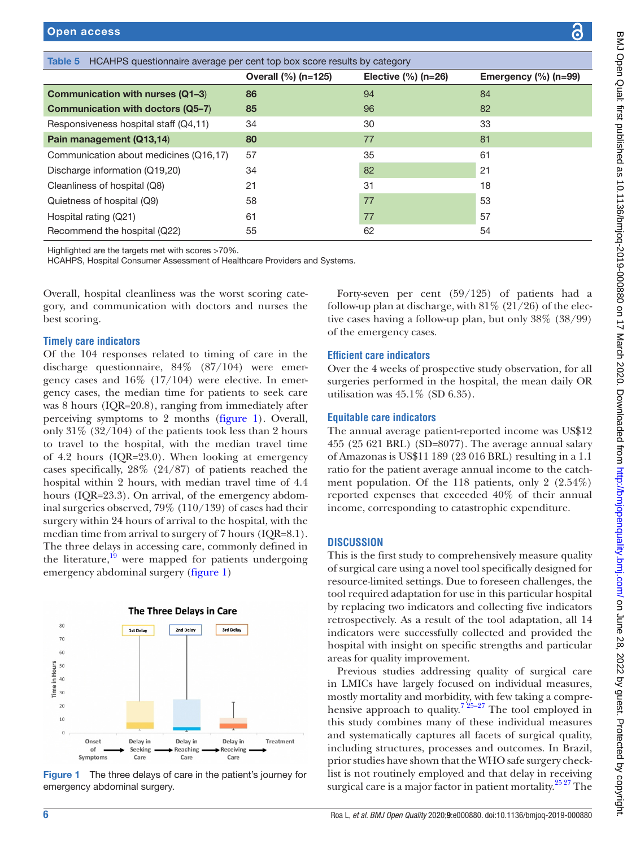<span id="page-5-0"></span>

| <b>Table 5</b> HCAHPS questionnaire average per cent top box score results by category |                     |                        |                         |  |  |
|----------------------------------------------------------------------------------------|---------------------|------------------------|-------------------------|--|--|
|                                                                                        | Overall (%) (n=125) | Elective $(\%)$ (n=26) | Emergency $(\%)$ (n=99) |  |  |
| Communication with nurses (Q1-3)                                                       | 86                  | 94                     | 84                      |  |  |
| Communication with doctors (Q5-7)                                                      | 85                  | 96                     | 82                      |  |  |
| Responsiveness hospital staff (Q4,11)                                                  | 34                  | 30                     | 33                      |  |  |
| Pain management (Q13,14)                                                               | 80                  | 77                     | 81                      |  |  |
| Communication about medicines (Q16,17)                                                 | 57                  | 35                     | 61                      |  |  |
| Discharge information (Q19,20)                                                         | 34                  | 82                     | 21                      |  |  |
| Cleanliness of hospital (Q8)                                                           | 21                  | 31                     | 18                      |  |  |
| Quietness of hospital (Q9)                                                             | 58                  | 77                     | 53                      |  |  |
| Hospital rating (Q21)                                                                  | 61                  | 77                     | 57                      |  |  |
| Recommend the hospital (Q22)                                                           | 55                  | 62                     | 54                      |  |  |

Highlighted are the targets met with scores >70%.

HCAHPS, Hospital Consumer Assessment of Healthcare Providers and Systems.

Overall, hospital cleanliness was the worst scoring category, and communication with doctors and nurses the best scoring.

#### **Timely care indicators**

Of the 104 responses related to timing of care in the discharge questionnaire, 84% (87/104) were emergency cases and 16% (17/104) were elective. In emergency cases, the median time for patients to seek care was 8 hours (IQR=20.8), ranging from immediately after perceiving symptoms to 2 months ([figure](#page-5-1) 1). Overall, only  $31\%$  ( $32/104$ ) of the patients took less than 2 hours to travel to the hospital, with the median travel time of 4.2 hours (IQR=23.0). When looking at emergency cases specifically, 28% (24/87) of patients reached the hospital within 2 hours, with median travel time of 4.4 hours (IQR=23.3). On arrival, of the emergency abdominal surgeries observed, 79% (110/139) of cases had their surgery within 24 hours of arrival to the hospital, with the median time from arrival to surgery of 7 hours (IQR=8.1). The three delays in accessing care, commonly defined in the literature, $19$  were mapped for patients undergoing emergency abdominal surgery [\(figure](#page-5-1) 1)



<span id="page-5-1"></span>Figure 1 The three delays of care in the patient's journey for emergency abdominal surgery.

Forty-seven per cent (59/125) of patients had a follow-up plan at discharge, with  $81\%$  (21/26) of the elective cases having a follow-up plan, but only 38% (38/99) of the emergency cases.

## **Efficient care indicators**

Over the 4 weeks of prospective study observation, for all surgeries performed in the hospital, the mean daily OR utilisation was 45.1% (SD 6.35).

#### **Equitable care indicators**

The annual average patient-reported income was US\$12 455 (25 621 BRL) (SD=8077). The average annual salary of Amazonas is US\$11 189 (23 016 BRL) resulting in a 1.1 ratio for the patient average annual income to the catchment population. Of the 118 patients, only 2 (2.54%) reported expenses that exceeded 40% of their annual income, corresponding to catastrophic expenditure.

## **Discussion**

This is the first study to comprehensively measure quality of surgical care using a novel tool specifically designed for resource-limited settings. Due to foreseen challenges, the tool required adaptation for use in this particular hospital by replacing two indicators and collecting five indicators retrospectively. As a result of the tool adaptation, all 14 indicators were successfully collected and provided the hospital with insight on specific strengths and particular areas for quality improvement.

Previous studies addressing quality of surgical care in LMICs have largely focused on individual measures, mostly mortality and morbidity, with few taking a comprehensive approach to quality.<sup>725-27</sup> The tool employed in this study combines many of these individual measures and systematically captures all facets of surgical quality, including structures, processes and outcomes. In Brazil, prior studies have shown that the WHO safe surgery checklist is not routinely employed and that delay in receiving surgical care is a major factor in patient mortality. $25\frac{27}{12}$  The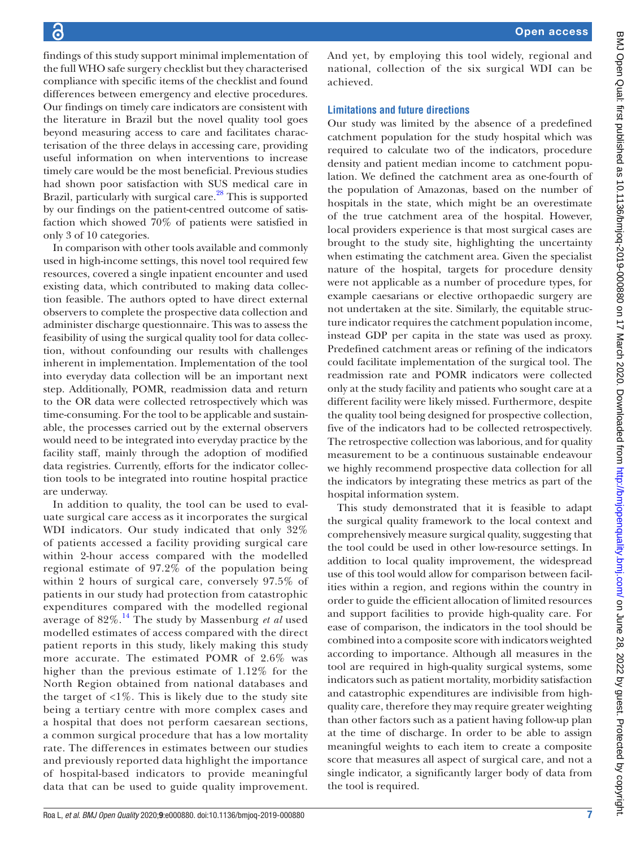findings of this study support minimal implementation of the full WHO safe surgery checklist but they characterised compliance with specific items of the checklist and found differences between emergency and elective procedures. Our findings on timely care indicators are consistent with the literature in Brazil but the novel quality tool goes beyond measuring access to care and facilitates characterisation of the three delays in accessing care, providing useful information on when interventions to increase timely care would be the most beneficial. Previous studies had shown poor satisfaction with SUS medical care in Brazil, particularly with surgical care.<sup>[28](#page-7-17)</sup> This is supported by our findings on the patient-centred outcome of satisfaction which showed 70% of patients were satisfied in only 3 of 10 categories.

In comparison with other tools available and commonly used in high-income settings, this novel tool required few resources, covered a single inpatient encounter and used existing data, which contributed to making data collection feasible. The authors opted to have direct external observers to complete the prospective data collection and administer discharge questionnaire. This was to assess the feasibility of using the surgical quality tool for data collection, without confounding our results with challenges inherent in implementation. Implementation of the tool into everyday data collection will be an important next step. Additionally, POMR, readmission data and return to the OR data were collected retrospectively which was time-consuming. For the tool to be applicable and sustainable, the processes carried out by the external observers would need to be integrated into everyday practice by the facility staff, mainly through the adoption of modified data registries. Currently, efforts for the indicator collection tools to be integrated into routine hospital practice are underway.

In addition to quality, the tool can be used to evaluate surgical care access as it incorporates the surgical WDI indicators. Our study indicated that only 32% of patients accessed a facility providing surgical care within 2-hour access compared with the modelled regional estimate of 97.2% of the population being within 2 hours of surgical care, conversely 97.5% of patients in our study had protection from catastrophic expenditures compared with the modelled regional average of 82%.[14](#page-7-8) The study by Massenburg *et al* used modelled estimates of access compared with the direct patient reports in this study, likely making this study more accurate. The estimated POMR of 2.6% was higher than the previous estimate of 1.12% for the North Region obtained from national databases and the target of  $\langle 1\% \rangle$ . This is likely due to the study site being a tertiary centre with more complex cases and a hospital that does not perform caesarean sections, a common surgical procedure that has a low mortality rate. The differences in estimates between our studies and previously reported data highlight the importance of hospital-based indicators to provide meaningful data that can be used to guide quality improvement.

And yet, by employing this tool widely, regional and national, collection of the six surgical WDI can be achieved.

# **Limitations and future directions**

Our study was limited by the absence of a predefined catchment population for the study hospital which was required to calculate two of the indicators, procedure density and patient median income to catchment population. We defined the catchment area as one-fourth of the population of Amazonas, based on the number of hospitals in the state, which might be an overestimate of the true catchment area of the hospital. However, local providers experience is that most surgical cases are brought to the study site, highlighting the uncertainty when estimating the catchment area. Given the specialist nature of the hospital, targets for procedure density were not applicable as a number of procedure types, for example caesarians or elective orthopaedic surgery are not undertaken at the site. Similarly, the equitable structure indicator requires the catchment population income, instead GDP per capita in the state was used as proxy. Predefined catchment areas or refining of the indicators could facilitate implementation of the surgical tool. The readmission rate and POMR indicators were collected only at the study facility and patients who sought care at a different facility were likely missed. Furthermore, despite the quality tool being designed for prospective collection, five of the indicators had to be collected retrospectively. The retrospective collection was laborious, and for quality measurement to be a continuous sustainable endeavour we highly recommend prospective data collection for all the indicators by integrating these metrics as part of the hospital information system.

This study demonstrated that it is feasible to adapt the surgical quality framework to the local context and comprehensively measure surgical quality, suggesting that the tool could be used in other low-resource settings. In addition to local quality improvement, the widespread use of this tool would allow for comparison between facilities within a region, and regions within the country in order to guide the efficient allocation of limited resources and support facilities to provide high-quality care. For ease of comparison, the indicators in the tool should be combined into a composite score with indicators weighted according to importance. Although all measures in the tool are required in high-quality surgical systems, some indicators such as patient mortality, morbidity satisfaction and catastrophic expenditures are indivisible from highquality care, therefore they may require greater weighting than other factors such as a patient having follow-up plan at the time of discharge. In order to be able to assign meaningful weights to each item to create a composite score that measures all aspect of surgical care, and not a single indicator, a significantly larger body of data from the tool is required.